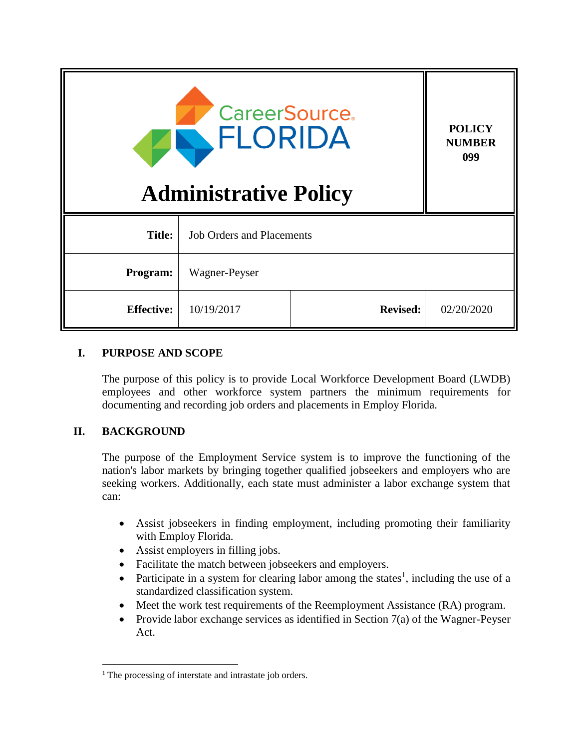| <b>CareerSource</b> .<br>FLORIDA<br><b>Administrative Policy</b> |                                  |                 | <b>POLICY</b><br><b>NUMBER</b><br>099 |
|------------------------------------------------------------------|----------------------------------|-----------------|---------------------------------------|
| Title:                                                           | <b>Job Orders and Placements</b> |                 |                                       |
| Program:                                                         | Wagner-Peyser                    |                 |                                       |
| <b>Effective:</b>                                                | 10/19/2017                       | <b>Revised:</b> | 02/20/2020                            |

## **I. PURPOSE AND SCOPE**

The purpose of this policy is to provide Local Workforce Development Board (LWDB) employees and other workforce system partners the minimum requirements for documenting and recording job orders and placements in Employ Florida.

## **II. BACKGROUND**

 $\overline{\phantom{a}}$ 

The purpose of the Employment Service system is to improve the functioning of the nation's labor markets by bringing together qualified jobseekers and employers who are seeking workers. Additionally, each state must administer a labor exchange system that can:

- Assist jobseekers in finding employment, including promoting their familiarity with Employ Florida.
- Assist employers in filling jobs.
- Facilitate the match between jobseekers and employers.
- Participate in a system for clearing labor among the states<sup>1</sup>, including the use of a standardized classification system.
- Meet the work test requirements of the Reemployment Assistance (RA) program.
- Provide labor exchange services as identified in Section  $7(a)$  of the Wagner-Peyser Act.

<sup>&</sup>lt;sup>1</sup> The processing of interstate and intrastate job orders.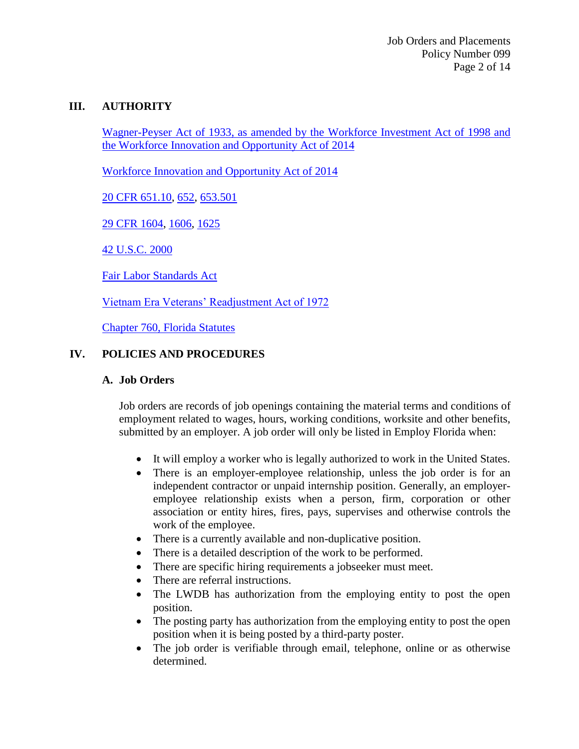### **III. AUTHORITY**

[Wagner-Peyser Act of 1933, as amended by the Workforce Investment Act of 1998 and](https://www.doleta.gov/programs/wagner-peyser-statute.cfm)  [the Workforce Innovation and Opportunity Act](https://www.doleta.gov/programs/wagner-peyser-statute.cfm) of 2014

[Workforce Innovation and Opportunity Act of 2014](https://www.congress.gov/113/bills/hr803/BILLS-113hr803enr.pdf)

20 [CFR 651.10,](http://www.ecfr.gov/cgi-bin/text-idx?SID=01a20d3303a279613c4178d8742ef000&mc=true&node=se20.3.651_110&rgn=div8) [652,](http://www.ecfr.gov/cgi-bin/text-idx?SID=01a20d3303a279613c4178d8742ef000&mc=true&node=pt20.3.652&rgn=div5) [653.501](http://www.ecfr.gov/cgi-bin/text-idx?SID=4734ba335c722f32531e1da2e329ade8&mc=true&node=pt20.3.653&rgn=div5)

[29 CFR 1604,](http://www.ecfr.gov/cgi-bin/text-idx?SID=1647e3fb5abd62477a1b67f1f88f028c&mc=true&node=pt29.4.1604&rgn=div5) [1606,](http://www.ecfr.gov/cgi-bin/text-idx?SID=1647e3fb5abd62477a1b67f1f88f028c&mc=true&node=pt29.4.1606&rgn=div5) [1625](http://www.ecfr.gov/cgi-bin/text-idx?SID=1647e3fb5abd62477a1b67f1f88f028c&mc=true&node=pt29.4.1625&rgn=div5)

[42 U.S.C. 2000](https://www.gpo.gov/fdsys/pkg/USCODE-2010-title42/pdf/USCODE-2010-title42-chap21-subchapVI.pdf)

[Fair Labor Standards Act](https://www.dol.gov/whd/regs/statutes/FairLaborStandAct.pdf)

[Vietnam Era Veterans' Readjustment Act of 1972](https://www.dol.gov/ofccp/regs/statutes/4212.htm)

Chapter 760, [Florida Statutes](http://www.leg.state.fl.us/Statutes/index.cfm?App_mode=Display_Statute&URL=0700-0799/0760/0760.html)

### **IV. POLICIES AND PROCEDURES**

#### **A. Job Orders**

Job orders are records of job openings containing the material terms and conditions of employment related to wages, hours, working conditions, worksite and other benefits, submitted by an employer. A job order will only be listed in Employ Florida when:

- It will employ a worker who is legally authorized to work in the United States.
- There is an employer-employee relationship, unless the job order is for an independent contractor or unpaid internship position. Generally, an employeremployee relationship exists when a person, firm, corporation or other association or entity hires, fires, pays, supervises and otherwise controls the work of the employee.
- There is a currently available and non-duplicative position.
- There is a detailed description of the work to be performed.
- There are specific hiring requirements a jobseeker must meet.
- There are referral instructions.
- The LWDB has authorization from the employing entity to post the open position.
- The posting party has authorization from the employing entity to post the open position when it is being posted by a third-party poster.
- The job order is verifiable through email, telephone, online or as otherwise determined.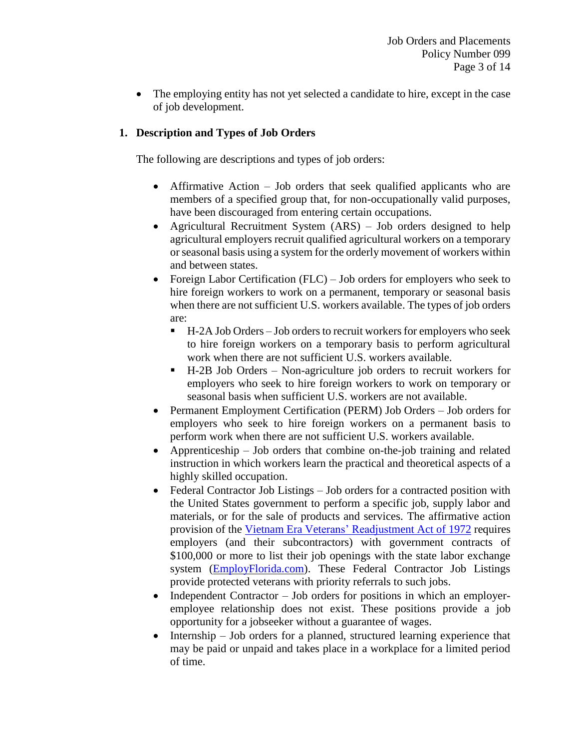• The employing entity has not yet selected a candidate to hire, except in the case of job development.

# **1. Description and Types of Job Orders**

The following are descriptions and types of job orders:

- Affirmative Action Job orders that seek qualified applicants who are members of a specified group that, for non-occupationally valid purposes, have been discouraged from entering certain occupations.
- Agricultural Recruitment System (ARS) Job orders designed to help agricultural employers recruit qualified agricultural workers on a temporary or seasonal basis using a system for the orderly movement of workers within and between states.
- Foreign Labor Certification (FLC) Job orders for employers who seek to hire foreign workers to work on a permanent, temporary or seasonal basis when there are not sufficient U.S. workers available. The types of job orders are:
	- H-2A Job Orders Job orders to recruit workers for employers who seek to hire foreign workers on a temporary basis to perform agricultural work when there are not sufficient U.S. workers available.
	- H-2B Job Orders Non-agriculture job orders to recruit workers for employers who seek to hire foreign workers to work on temporary or seasonal basis when sufficient U.S. workers are not available.
- Permanent Employment Certification (PERM) Job Orders Job orders for employers who seek to hire foreign workers on a permanent basis to perform work when there are not sufficient U.S. workers available.
- Apprenticeship Job orders that combine on-the-job training and related instruction in which workers learn the practical and theoretical aspects of a highly skilled occupation.
- Federal Contractor Job Listings Job orders for a contracted position with the United States government to perform a specific job, supply labor and materials, or for the sale of products and services. The affirmative action provision of the [Vietnam Era Veterans' Readjustment Act of 1972](https://www.dol.gov/ofccp/regs/statutes/4212.htm) requires employers (and their subcontractors) with government contracts of \$100,000 or more to list their job openings with the state labor exchange system [\(EmployFlorida.com\)](https://www.employflorida.com/vosnet/Default.aspx). These Federal Contractor Job Listings provide protected veterans with priority referrals to such jobs.
- Independent Contractor Job orders for positions in which an employeremployee relationship does not exist. These positions provide a job opportunity for a jobseeker without a guarantee of wages.
- Internship Job orders for a planned, structured learning experience that may be paid or unpaid and takes place in a workplace for a limited period of time.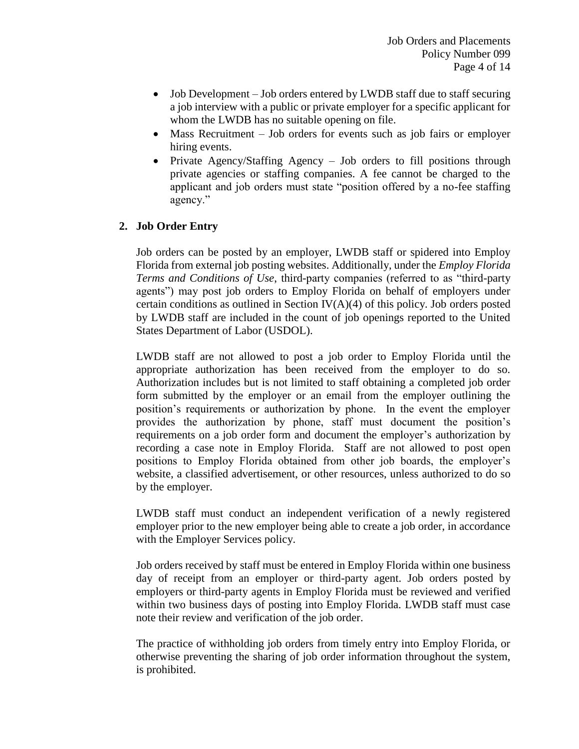- Job Development Job orders entered by LWDB staff due to staff securing a job interview with a public or private employer for a specific applicant for whom the LWDB has no suitable opening on file.
- Mass Recruitment Job orders for events such as job fairs or employer hiring events.
- Private Agency/Staffing Agency Job orders to fill positions through private agencies or staffing companies. A fee cannot be charged to the applicant and job orders must state "position offered by a no-fee staffing agency."

## **2. Job Order Entry**

Job orders can be posted by an employer, LWDB staff or spidered into Employ Florida from external job posting websites. Additionally, under the *Employ Florida Terms and Conditions of Use*, third-party companies (referred to as "third-party agents") may post job orders to Employ Florida on behalf of employers under certain conditions as outlined in Section  $IV(A)(4)$  of this policy. Job orders posted by LWDB staff are included in the count of job openings reported to the United States Department of Labor (USDOL).

LWDB staff are not allowed to post a job order to Employ Florida until the appropriate authorization has been received from the employer to do so. Authorization includes but is not limited to staff obtaining a completed job order form submitted by the employer or an email from the employer outlining the position's requirements or authorization by phone. In the event the employer provides the authorization by phone, staff must document the position's requirements on a job order form and document the employer's authorization by recording a case note in Employ Florida. Staff are not allowed to post open positions to Employ Florida obtained from other job boards, the employer's website, a classified advertisement, or other resources, unless authorized to do so by the employer.

LWDB staff must conduct an independent verification of a newly registered employer prior to the new employer being able to create a job order, in accordance with the Employer Services policy.

Job orders received by staff must be entered in Employ Florida within one business day of receipt from an employer or third-party agent. Job orders posted by employers or third-party agents in Employ Florida must be reviewed and verified within two business days of posting into Employ Florida. LWDB staff must case note their review and verification of the job order.

The practice of withholding job orders from timely entry into Employ Florida, or otherwise preventing the sharing of job order information throughout the system, is prohibited.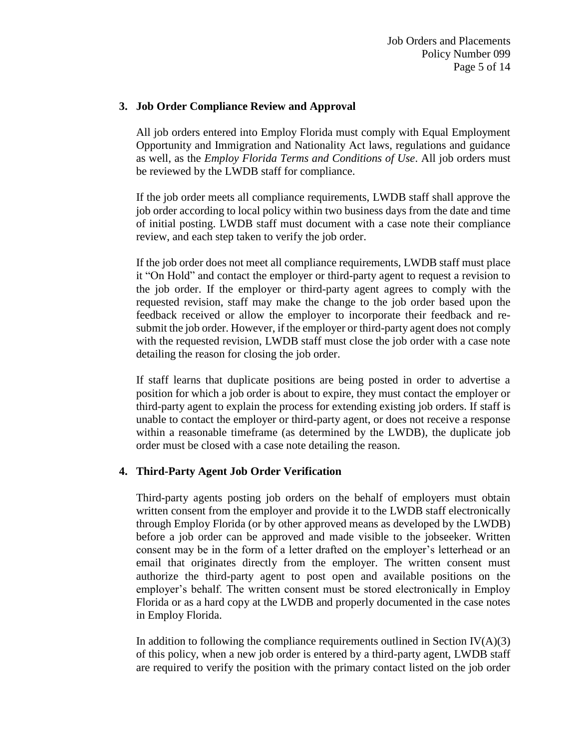### **3. Job Order Compliance Review and Approval**

All job orders entered into Employ Florida must comply with Equal Employment Opportunity and Immigration and Nationality Act laws, regulations and guidance as well, as the *Employ Florida Terms and Conditions of Use*. All job orders must be reviewed by the LWDB staff for compliance.

If the job order meets all compliance requirements, LWDB staff shall approve the job order according to local policy within two business days from the date and time of initial posting. LWDB staff must document with a case note their compliance review, and each step taken to verify the job order.

If the job order does not meet all compliance requirements, LWDB staff must place it "On Hold" and contact the employer or third-party agent to request a revision to the job order. If the employer or third-party agent agrees to comply with the requested revision, staff may make the change to the job order based upon the feedback received or allow the employer to incorporate their feedback and resubmit the job order. However, if the employer or third-party agent does not comply with the requested revision, LWDB staff must close the job order with a case note detailing the reason for closing the job order.

If staff learns that duplicate positions are being posted in order to advertise a position for which a job order is about to expire, they must contact the employer or third-party agent to explain the process for extending existing job orders. If staff is unable to contact the employer or third-party agent, or does not receive a response within a reasonable timeframe (as determined by the LWDB), the duplicate job order must be closed with a case note detailing the reason.

## **4. Third-Party Agent Job Order Verification**

Third-party agents posting job orders on the behalf of employers must obtain written consent from the employer and provide it to the LWDB staff electronically through Employ Florida (or by other approved means as developed by the LWDB) before a job order can be approved and made visible to the jobseeker. Written consent may be in the form of a letter drafted on the employer's letterhead or an email that originates directly from the employer. The written consent must authorize the third-party agent to post open and available positions on the employer's behalf. The written consent must be stored electronically in Employ Florida or as a hard copy at the LWDB and properly documented in the case notes in Employ Florida.

In addition to following the compliance requirements outlined in Section  $IV(A)(3)$ of this policy, when a new job order is entered by a third-party agent, LWDB staff are required to verify the position with the primary contact listed on the job order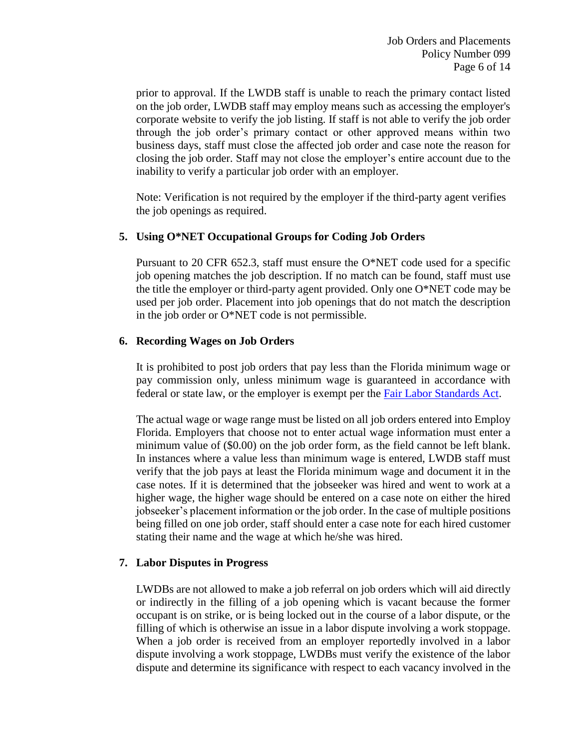prior to approval. If the LWDB staff is unable to reach the primary contact listed on the job order, LWDB staff may employ means such as accessing the employer's corporate website to verify the job listing. If staff is not able to verify the job order through the job order's primary contact or other approved means within two business days, staff must close the affected job order and case note the reason for closing the job order. Staff may not close the employer's entire account due to the inability to verify a particular job order with an employer.

Note: Verification is not required by the employer if the third-party agent verifies the job openings as required.

### **5. Using O\*NET Occupational Groups for Coding Job Orders**

Pursuant to 20 CFR 652.3, staff must ensure the  $O^*NET$  code used for a specific job opening matches the job description. If no match can be found, staff must use the title the employer or third-party agent provided. Only one O\*NET code may be used per job order. Placement into job openings that do not match the description in the job order or O\*NET code is not permissible.

#### **6. Recording Wages on Job Orders**

It is prohibited to post job orders that pay less than the Florida minimum wage or pay commission only, unless minimum wage is guaranteed in accordance with federal or state law, or the employer is exempt per the [Fair Labor Standards Act.](http://www.dol.gov/elaws/esa/flsa/screen75.asp)

The actual wage or wage range must be listed on all job orders entered into Employ Florida. Employers that choose not to enter actual wage information must enter a minimum value of (\$0.00) on the job order form, as the field cannot be left blank. In instances where a value less than minimum wage is entered, LWDB staff must verify that the job pays at least the Florida minimum wage and document it in the case notes. If it is determined that the jobseeker was hired and went to work at a higher wage, the higher wage should be entered on a case note on either the hired jobseeker's placement information or the job order. In the case of multiple positions being filled on one job order, staff should enter a case note for each hired customer stating their name and the wage at which he/she was hired.

#### **7. Labor Disputes in Progress**

LWDBs are not allowed to make a job referral on job orders which will aid directly or indirectly in the filling of a job opening which is vacant because the former occupant is on strike, or is being locked out in the course of a labor dispute, or the filling of which is otherwise an issue in a labor dispute involving a work stoppage. When a job order is received from an employer reportedly involved in a labor dispute involving a work stoppage, LWDBs must verify the existence of the labor dispute and determine its significance with respect to each vacancy involved in the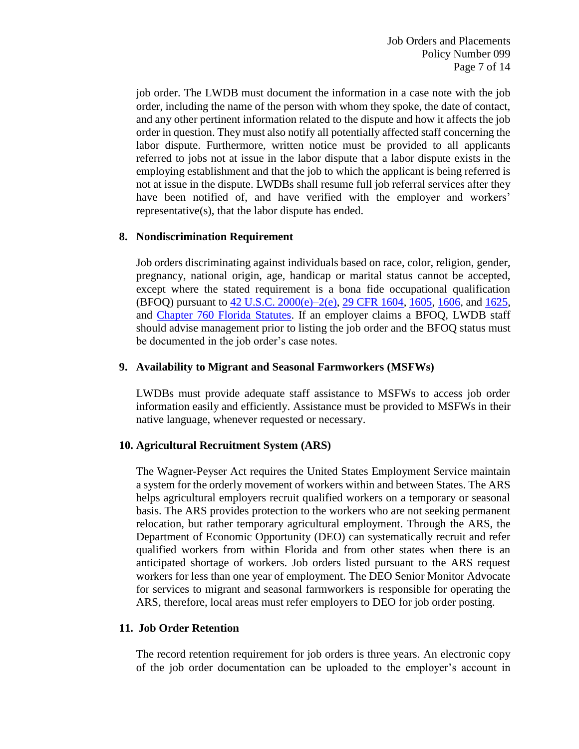job order. The LWDB must document the information in a case note with the job order, including the name of the person with whom they spoke, the date of contact, and any other pertinent information related to the dispute and how it affects the job order in question. They must also notify all potentially affected staff concerning the labor dispute. Furthermore, written notice must be provided to all applicants referred to jobs not at issue in the labor dispute that a labor dispute exists in the employing establishment and that the job to which the applicant is being referred is not at issue in the dispute. LWDBs shall resume full job referral services after they have been notified of, and have verified with the employer and workers' representative(s), that the labor dispute has ended.

### **8. Nondiscrimination Requirement**

Job orders discriminating against individuals based on race, color, religion, gender, pregnancy, national origin, age, handicap or marital status cannot be accepted, except where the stated requirement is a bona fide occupational qualification (BFOQ) pursuant to [42 U.S.C. 2000\(e\)–2\(e\),](https://www.gpo.gov/fdsys/pkg/USCODE-2010-title42/pdf/USCODE-2010-title42-chap21-subchapVI.pdf) [29 CFR 1604,](http://www.ecfr.gov/cgi-bin/text-idx?SID=1647e3fb5abd62477a1b67f1f88f028c&mc=true&node=pt29.4.1604&rgn=div5) [1605,](https://www.ecfr.gov/cgi-bin/text-idx?SID=e5884b0f67f7865f668dc6446f5fd288&mc=true&node=pt29.4.1605&rgn=div5) [1606,](http://www.ecfr.gov/cgi-bin/text-idx?SID=1647e3fb5abd62477a1b67f1f88f028c&mc=true&node=pt29.4.1606&rgn=div5) and [1625,](http://www.ecfr.gov/cgi-bin/text-idx?SID=1647e3fb5abd62477a1b67f1f88f028c&mc=true&node=pt29.4.1625&rgn=div5) and [Chapter 760 Florida Statutes.](http://www.leg.state.fl.us/Statutes/index.cfm?App_mode=Display_Statute&URL=0700-0799/0760/0760.html) If an employer claims a BFOQ, LWDB staff should advise management prior to listing the job order and the BFOQ status must be documented in the job order's case notes.

### **9. Availability to Migrant and Seasonal Farmworkers (MSFWs)**

LWDBs must provide adequate staff assistance to MSFWs to access job order information easily and efficiently. Assistance must be provided to MSFWs in their native language, whenever requested or necessary.

## **10. Agricultural Recruitment System (ARS)**

The Wagner-Peyser Act requires the United States Employment Service maintain a system for the orderly movement of workers within and between States. The ARS helps agricultural employers recruit qualified workers on a temporary or seasonal basis. The ARS provides protection to the workers who are not seeking permanent relocation, but rather temporary agricultural employment. Through the ARS, the Department of Economic Opportunity (DEO) can systematically recruit and refer qualified workers from within Florida and from other states when there is an anticipated shortage of workers. Job orders listed pursuant to the ARS request workers for less than one year of employment. The DEO Senior Monitor Advocate for services to migrant and seasonal farmworkers is responsible for operating the ARS, therefore, local areas must refer employers to DEO for job order posting.

#### **11. Job Order Retention**

The record retention requirement for job orders is three years. An electronic copy of the job order documentation can be uploaded to the employer's account in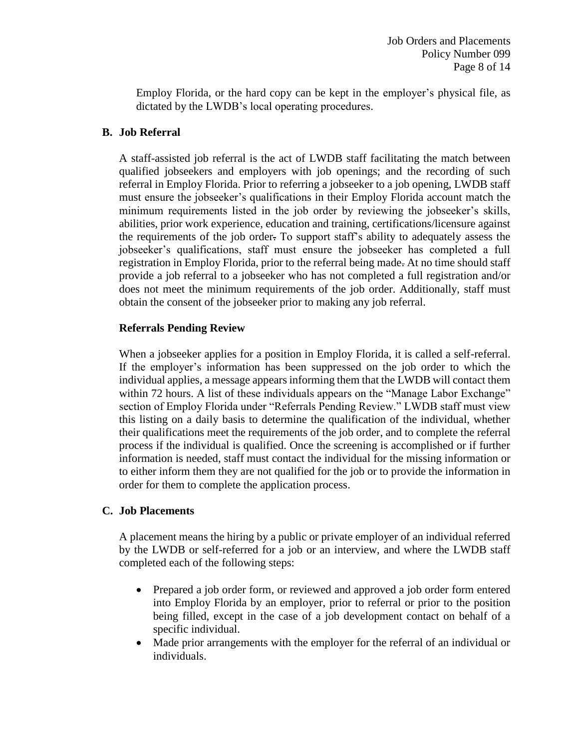Employ Florida, or the hard copy can be kept in the employer's physical file, as dictated by the LWDB's local operating procedures.

### **B. Job Referral**

A staff-assisted job referral is the act of LWDB staff facilitating the match between qualified jobseekers and employers with job openings; and the recording of such referral in Employ Florida. Prior to referring a jobseeker to a job opening, LWDB staff must ensure the jobseeker's qualifications in their Employ Florida account match the minimum requirements listed in the job order by reviewing the jobseeker's skills, abilities, prior work experience, education and training, certifications/licensure against the requirements of the job order. To support staff's ability to adequately assess the jobseeker's qualifications, staff must ensure the jobseeker has completed a full registration in Employ Florida, prior to the referral being made. At no time should staff provide a job referral to a jobseeker who has not completed a full registration and/or does not meet the minimum requirements of the job order. Additionally, staff must obtain the consent of the jobseeker prior to making any job referral.

### **Referrals Pending Review**

When a jobseeker applies for a position in Employ Florida, it is called a self-referral. If the employer's information has been suppressed on the job order to which the individual applies, a message appears informing them that the LWDB will contact them within 72 hours. A list of these individuals appears on the "Manage Labor Exchange" section of Employ Florida under "Referrals Pending Review." LWDB staff must view this listing on a daily basis to determine the qualification of the individual, whether their qualifications meet the requirements of the job order, and to complete the referral process if the individual is qualified. Once the screening is accomplished or if further information is needed, staff must contact the individual for the missing information or to either inform them they are not qualified for the job or to provide the information in order for them to complete the application process.

#### **C. Job Placements**

A placement means the hiring by a public or private employer of an individual referred by the LWDB or self-referred for a job or an interview, and where the LWDB staff completed each of the following steps:

- Prepared a job order form, or reviewed and approved a job order form entered into Employ Florida by an employer, prior to referral or prior to the position being filled, except in the case of a job development contact on behalf of a specific individual.
- Made prior arrangements with the employer for the referral of an individual or individuals.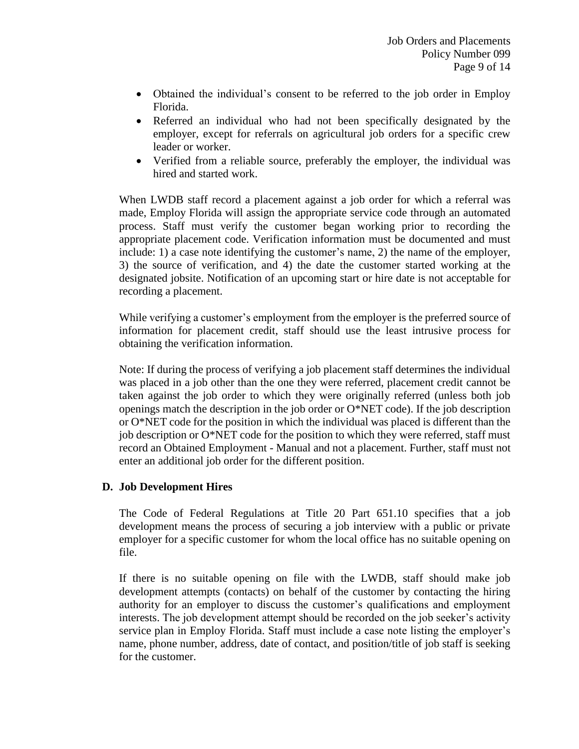- Obtained the individual's consent to be referred to the job order in Employ Florida.
- Referred an individual who had not been specifically designated by the employer, except for referrals on agricultural job orders for a specific crew leader or worker.
- Verified from a reliable source, preferably the employer, the individual was hired and started work.

When LWDB staff record a placement against a job order for which a referral was made, Employ Florida will assign the appropriate service code through an automated process. Staff must verify the customer began working prior to recording the appropriate placement code. Verification information must be documented and must include: 1) a case note identifying the customer's name, 2) the name of the employer, 3) the source of verification, and 4) the date the customer started working at the designated jobsite. Notification of an upcoming start or hire date is not acceptable for recording a placement.

While verifying a customer's employment from the employer is the preferred source of information for placement credit, staff should use the least intrusive process for obtaining the verification information.

Note: If during the process of verifying a job placement staff determines the individual was placed in a job other than the one they were referred, placement credit cannot be taken against the job order to which they were originally referred (unless both job openings match the description in the job order or  $O^*NET$  code). If the job description or O\*NET code for the position in which the individual was placed is different than the job description or O\*NET code for the position to which they were referred, staff must record an Obtained Employment - Manual and not a placement. Further, staff must not enter an additional job order for the different position.

#### **D. Job Development Hires**

The Code of Federal Regulations at Title 20 Part 651.10 specifies that a job development means the process of securing a job interview with a public or private employer for a specific customer for whom the local office has no suitable opening on file.

If there is no suitable opening on file with the LWDB, staff should make job development attempts (contacts) on behalf of the customer by contacting the hiring authority for an employer to discuss the customer's qualifications and employment interests. The job development attempt should be recorded on the job seeker's activity service plan in Employ Florida. Staff must include a case note listing the employer's name, phone number, address, date of contact, and position/title of job staff is seeking for the customer.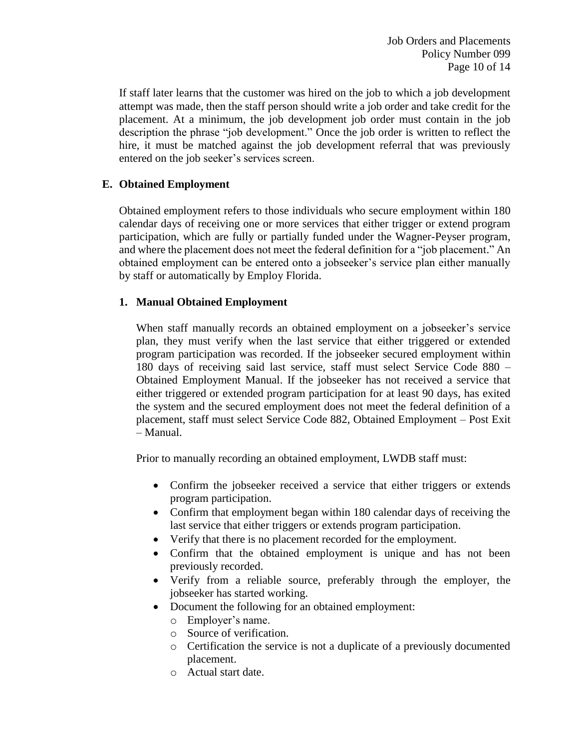If staff later learns that the customer was hired on the job to which a job development attempt was made, then the staff person should write a job order and take credit for the placement. At a minimum, the job development job order must contain in the job description the phrase "job development." Once the job order is written to reflect the hire, it must be matched against the job development referral that was previously entered on the job seeker's services screen.

## **E. Obtained Employment**

Obtained employment refers to those individuals who secure employment within 180 calendar days of receiving one or more services that either trigger or extend program participation, which are fully or partially funded under the Wagner-Peyser program, and where the placement does not meet the federal definition for a "job placement." An obtained employment can be entered onto a jobseeker's service plan either manually by staff or automatically by Employ Florida.

## **1. Manual Obtained Employment**

When staff manually records an obtained employment on a jobseeker's service plan, they must verify when the last service that either triggered or extended program participation was recorded. If the jobseeker secured employment within 180 days of receiving said last service, staff must select Service Code 880 – Obtained Employment Manual. If the jobseeker has not received a service that either triggered or extended program participation for at least 90 days, has exited the system and the secured employment does not meet the federal definition of a placement, staff must select Service Code 882, Obtained Employment – Post Exit – Manual.

Prior to manually recording an obtained employment, LWDB staff must:

- Confirm the jobseeker received a service that either triggers or extends program participation.
- Confirm that employment began within 180 calendar days of receiving the last service that either triggers or extends program participation.
- Verify that there is no placement recorded for the employment.
- Confirm that the obtained employment is unique and has not been previously recorded.
- Verify from a reliable source, preferably through the employer, the jobseeker has started working.
- Document the following for an obtained employment:
	- o Employer's name.
	- o Source of verification.
	- o Certification the service is not a duplicate of a previously documented placement.
	- o Actual start date.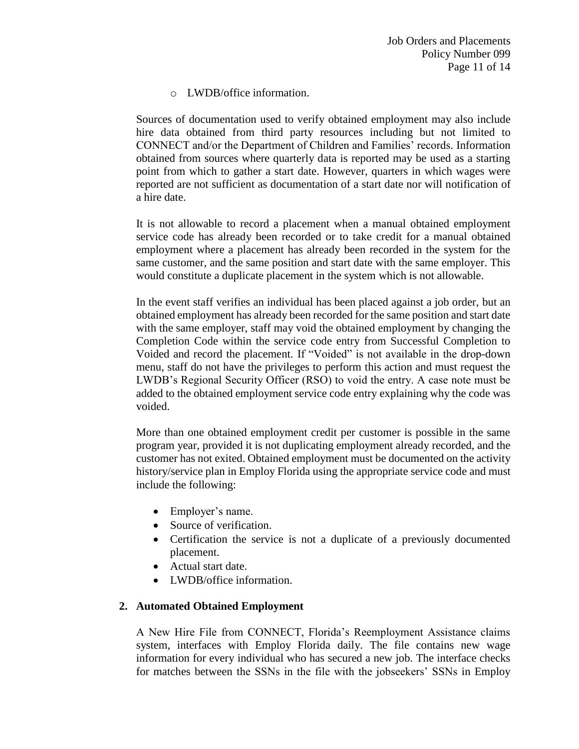o LWDB/office information.

Sources of documentation used to verify obtained employment may also include hire data obtained from third party resources including but not limited to CONNECT and/or the Department of Children and Families' records. Information obtained from sources where quarterly data is reported may be used as a starting point from which to gather a start date. However, quarters in which wages were reported are not sufficient as documentation of a start date nor will notification of a hire date.

It is not allowable to record a placement when a manual obtained employment service code has already been recorded or to take credit for a manual obtained employment where a placement has already been recorded in the system for the same customer, and the same position and start date with the same employer. This would constitute a duplicate placement in the system which is not allowable.

In the event staff verifies an individual has been placed against a job order, but an obtained employment has already been recorded for the same position and start date with the same employer, staff may void the obtained employment by changing the Completion Code within the service code entry from Successful Completion to Voided and record the placement. If "Voided" is not available in the drop-down menu, staff do not have the privileges to perform this action and must request the LWDB's Regional Security Officer (RSO) to void the entry. A case note must be added to the obtained employment service code entry explaining why the code was voided.

More than one obtained employment credit per customer is possible in the same program year, provided it is not duplicating employment already recorded, and the customer has not exited. Obtained employment must be documented on the activity history/service plan in Employ Florida using the appropriate service code and must include the following:

- Employer's name.
- Source of verification.
- Certification the service is not a duplicate of a previously documented placement.
- Actual start date.
- LWDB/office information.

## **2. Automated Obtained Employment**

A New Hire File from CONNECT, Florida's Reemployment Assistance claims system, interfaces with Employ Florida daily. The file contains new wage information for every individual who has secured a new job. The interface checks for matches between the SSNs in the file with the jobseekers' SSNs in Employ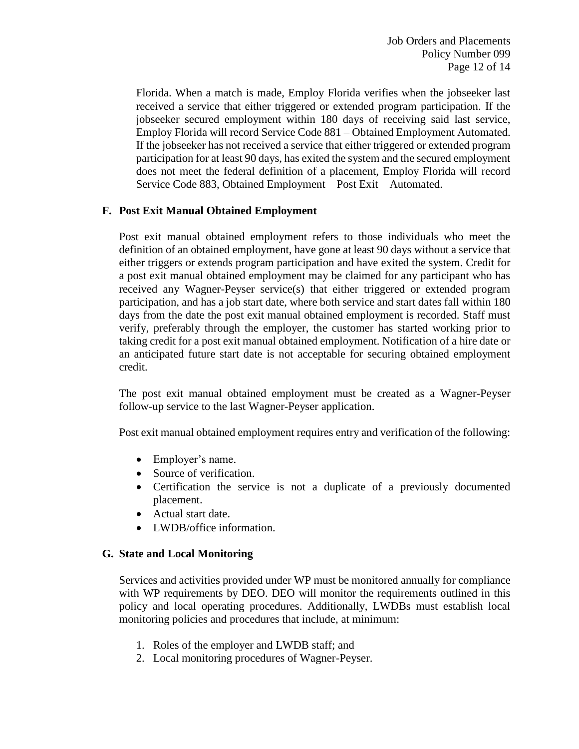Florida. When a match is made, Employ Florida verifies when the jobseeker last received a service that either triggered or extended program participation. If the jobseeker secured employment within 180 days of receiving said last service, Employ Florida will record Service Code 881 – Obtained Employment Automated. If the jobseeker has not received a service that either triggered or extended program participation for at least 90 days, has exited the system and the secured employment does not meet the federal definition of a placement, Employ Florida will record Service Code 883, Obtained Employment – Post Exit – Automated.

## **F. Post Exit Manual Obtained Employment**

Post exit manual obtained employment refers to those individuals who meet the definition of an obtained employment, have gone at least 90 days without a service that either triggers or extends program participation and have exited the system. Credit for a post exit manual obtained employment may be claimed for any participant who has received any Wagner-Peyser service(s) that either triggered or extended program participation, and has a job start date, where both service and start dates fall within 180 days from the date the post exit manual obtained employment is recorded. Staff must verify, preferably through the employer, the customer has started working prior to taking credit for a post exit manual obtained employment. Notification of a hire date or an anticipated future start date is not acceptable for securing obtained employment credit.

The post exit manual obtained employment must be created as a Wagner-Peyser follow-up service to the last Wagner-Peyser application.

Post exit manual obtained employment requires entry and verification of the following:

- Employer's name.
- Source of verification.
- Certification the service is not a duplicate of a previously documented placement.
- Actual start date.
- LWDB/office information.

## **G. State and Local Monitoring**

Services and activities provided under WP must be monitored annually for compliance with WP requirements by DEO. DEO will monitor the requirements outlined in this policy and local operating procedures. Additionally, LWDBs must establish local monitoring policies and procedures that include, at minimum:

- 1. Roles of the employer and LWDB staff; and
- 2. Local monitoring procedures of Wagner-Peyser.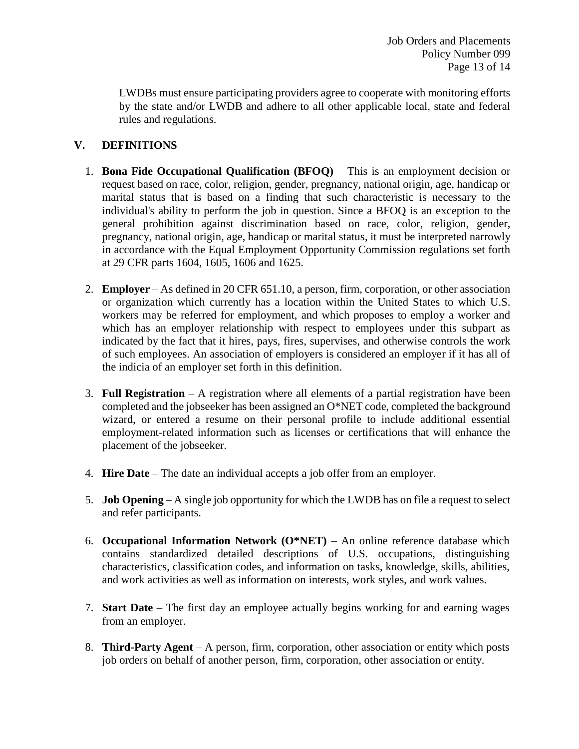LWDBs must ensure participating providers agree to cooperate with monitoring efforts by the state and/or LWDB and adhere to all other applicable local, state and federal rules and regulations.

## **V. DEFINITIONS**

- 1. **Bona Fide Occupational Qualification (BFOQ)**  This is an employment decision or request based on race, color, religion, gender, pregnancy, national origin, age, handicap or marital status that is based on a finding that such characteristic is necessary to the individual's ability to perform the job in question. Since a BFOQ is an exception to the general prohibition against discrimination based on race, color, religion, gender, pregnancy, national origin, age, handicap or marital status, it must be interpreted narrowly in accordance with the Equal Employment Opportunity Commission regulations set forth at 29 CFR parts 1604, 1605, 1606 and 1625.
- 2. **Employer**  As defined in 20 CFR 651.10, a person, firm, corporation, or other association or organization which currently has a location within the United States to which U.S. workers may be referred for employment, and which proposes to employ a worker and which has an employer relationship with respect to employees under this subpart as indicated by the fact that it hires, pays, fires, supervises, and otherwise controls the work of such employees. An association of employers is considered an employer if it has all of the indicia of an employer set forth in this definition.
- 3. **Full Registration** A registration where all elements of a partial registration have been completed and the jobseeker has been assigned an O\*NET code, completed the background wizard, or entered a resume on their personal profile to include additional essential employment-related information such as licenses or certifications that will enhance the placement of the jobseeker.
- 4. **Hire Date** The date an individual accepts a job offer from an employer.
- 5. **Job Opening** A single job opportunity for which the LWDB has on file a request to select and refer participants.
- 6. **Occupational Information Network (O\*NET)** An online reference database which contains standardized detailed descriptions of U.S. occupations, distinguishing characteristics, classification codes, and information on tasks, knowledge, skills, abilities, and work activities as well as information on interests, work styles, and work values.
- 7. **Start Date** The first day an employee actually begins working for and earning wages from an employer.
- 8. **Third-Party Agent** A person, firm, corporation, other association or entity which posts job orders on behalf of another person, firm, corporation, other association or entity.